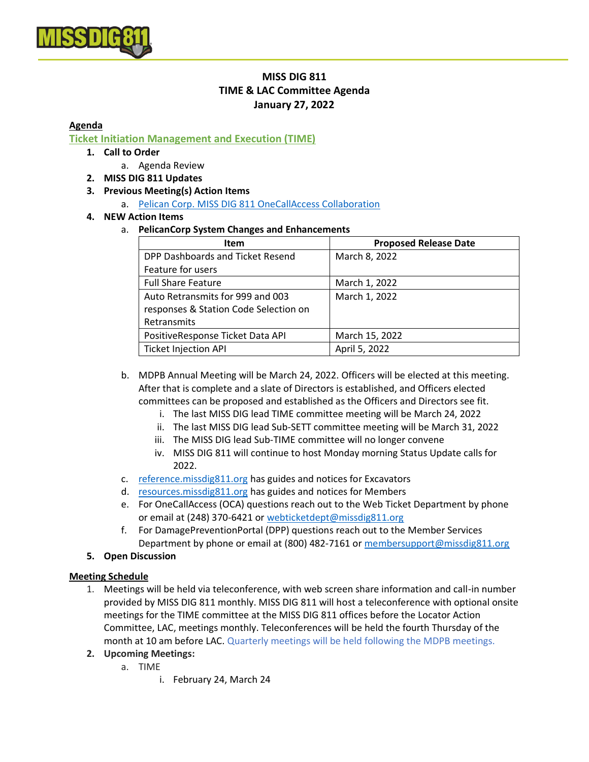

# **MISS DIG 811 TIME & LAC Committee Agenda January 27, 2022**

#### **Agenda**

**Ticket Initiation Management and Execution (TIME)**

### **1. Call to Order**

- a. Agenda Review
- **2. MISS DIG 811 Updates**

#### **3. Previous Meeting(s) Action Items**

a. [Pelican Corp. MISS DIG 811 OneCallAccess Collaboration](https://www.pelicancorp.com/us/news/industry-news/18-industry-news/industry-news-us/249-pelicancorp-and-miss-dig-system-inc-partner-to-strengthen-notification-services)

#### **4. NEW Action Items**

a. **PelicanCorp System Changes and Enhancements**

| <b>Item</b>                           | <b>Proposed Release Date</b> |
|---------------------------------------|------------------------------|
| DPP Dashboards and Ticket Resend      | March 8, 2022                |
| Feature for users                     |                              |
| <b>Full Share Feature</b>             | March 1, 2022                |
| Auto Retransmits for 999 and 003      | March 1, 2022                |
| responses & Station Code Selection on |                              |
| Retransmits                           |                              |
| PositiveResponse Ticket Data API      | March 15, 2022               |
| <b>Ticket Injection API</b>           | April 5, 2022                |

b. MDPB Annual Meeting will be March 24, 2022. Officers will be elected at this meeting. After that is complete and a slate of Directors is established, and Officers elected committees can be proposed and established as the Officers and Directors see fit.

- i. The last MISS DIG lead TIME committee meeting will be March 24, 2022
- ii. The last MISS DIG lead Sub-SETT committee meeting will be March 31, 2022
- iii. The MISS DIG lead Sub-TIME committee will no longer convene
- iv. MISS DIG 811 will continue to host Monday morning Status Update calls for 2022.
- c. [reference.missdig811.org](http://reference.missdig811.org/) has guides and notices for Excavators
- d. [resources.missdig811.org](http://resources.missdig811.org/) has guides and notices for Members
- e. For OneCallAccess (OCA) questions reach out to the Web Ticket Department by phone or email at (248) 370-6421 or [webticketdept@missdig811.org](mailto:webticketdept@missdig811.org?subject=OneCallAccess%20Assistance)
- f. For DamagePreventionPortal (DPP) questions reach out to the Member Services Department by phone or email at (800) 482-7161 or [membersupport@missdig811.org](mailto:membersupport@missdig811.org?subject=DamagePreventionPortal%20Assistance)

#### **5. Open Discussion**

#### **Meeting Schedule**

- 1. Meetings will be held via teleconference, with web screen share information and call-in number provided by MISS DIG 811 monthly. MISS DIG 811 will host a teleconference with optional onsite meetings for the TIME committee at the MISS DIG 811 offices before the Locator Action Committee, LAC, meetings monthly. Teleconferences will be held the fourth Thursday of the month at 10 am before LAC. Quarterly meetings will be held following the MDPB meetings.
- **2. Upcoming Meetings:** 
	- a. TIME
		- i. February 24, March 24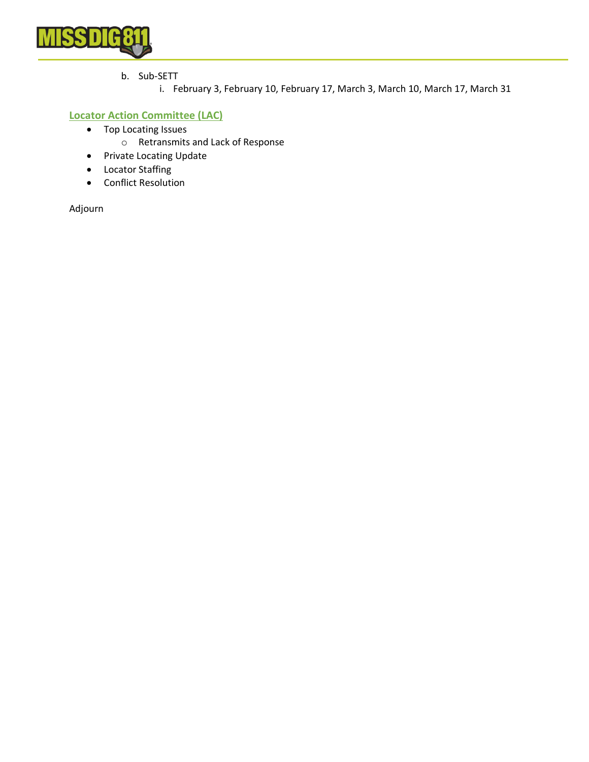

- b. Sub-SETT
	- i. February 3, February 10, February 17, March 3, March 10, March 17, March 31

### **Locator Action Committee (LAC)**

- Top Locating Issues
	- o Retransmits and Lack of Response
- Private Locating Update
- Locator Staffing
- Conflict Resolution

Adjourn